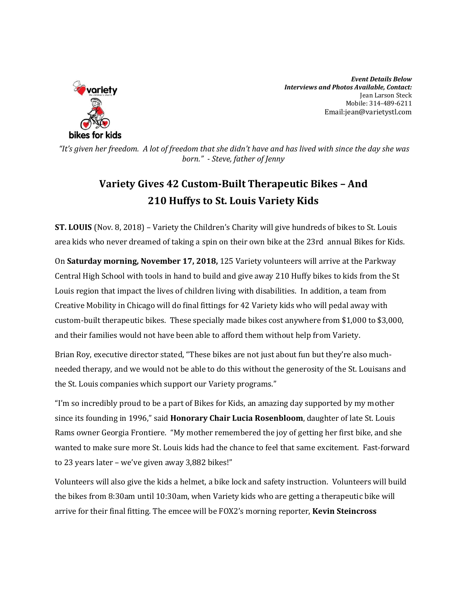

*Event Details Below Interviews and Photos Available, Contact:* Jean Larson Steck Mobile: 314-489-6211 Email:jean@varietystl.com

*"It's given her freedom. A lot of freedom that she didn't have and has lived with since the day she was born." - Steve, father of Jenny*

## **Variety Gives 42 Custom-Built Therapeutic Bikes – And 210 Huffys to St. Louis Variety Kids**

**ST. LOUIS** (Nov. 8, 2018) – Variety the Children's Charity will give hundreds of bikes to St. Louis area kids who never dreamed of taking a spin on their own bike at the 23rd annual Bikes for Kids.

On **Saturday morning, November 17, 2018,** 125 Variety volunteers will arrive at the Parkway Central High School with tools in hand to build and give away 210 Huffy bikes to kids from the St Louis region that impact the lives of children living with disabilities. In addition, a team from Creative Mobility in Chicago will do final fittings for 42 Variety kids who will pedal away with custom-built therapeutic bikes. These specially made bikes cost anywhere from \$1,000 to \$3,000, and their families would not have been able to afford them without help from Variety.

Brian Roy, executive director stated, "These bikes are not just about fun but they're also muchneeded therapy, and we would not be able to do this without the generosity of the St. Louisans and the St. Louis companies which support our Variety programs."

"I'm so incredibly proud to be a part of Bikes for Kids, an amazing day supported by my mother since its founding in 1996," said **Honorary Chair Lucia Rosenbloom**, daughter of late St. Louis Rams owner Georgia Frontiere. "My mother remembered the joy of getting her first bike, and she wanted to make sure more St. Louis kids had the chance to feel that same excitement. Fast-forward to 23 years later – we've given away 3,882 bikes!"

Volunteers will also give the kids a helmet, a bike lock and safety instruction. Volunteers will build the bikes from 8:30am until 10:30am, when Variety kids who are getting a therapeutic bike will arrive for their final fitting. The emcee will be FOX2's morning reporter, **Kevin Steincross**